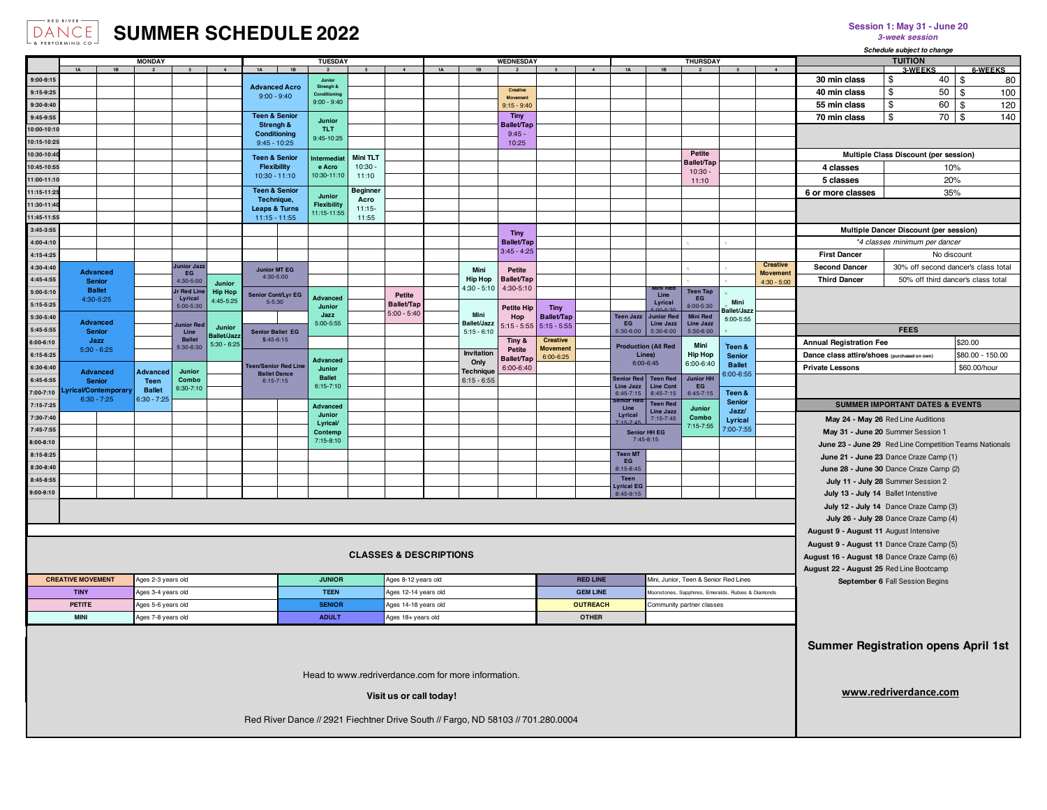

## **DANCE SUMMER SCHEDULE 2022**

| $ \alpha$ rekpurning $\alpha$                                                                           |                                      |                                |                              |                             |                                                |                      |                               |                              |                                   |                  |                                                                                  |                                    | Schedule subject to change         |                               |                                       |                                                    |                        |                            |                                 |                                                        |                                            |              |                      |
|---------------------------------------------------------------------------------------------------------|--------------------------------------|--------------------------------|------------------------------|-----------------------------|------------------------------------------------|----------------------|-------------------------------|------------------------------|-----------------------------------|------------------|----------------------------------------------------------------------------------|------------------------------------|------------------------------------|-------------------------------|---------------------------------------|----------------------------------------------------|------------------------|----------------------------|---------------------------------|--------------------------------------------------------|--------------------------------------------|--------------|----------------------|
| <b>MONDAY</b><br>$1\text{A}$<br>1B<br>$\overline{4}$<br>1A<br>$\overline{2}$<br>$\overline{\mathbf{3}}$ |                                      |                                |                              |                             |                                                | <b>TUESDAY</b>       |                               |                              |                                   | <b>WEDNESDAY</b> |                                                                                  |                                    |                                    | $1\text{A}$<br>$\overline{a}$ |                                       | <b>THURSDAY</b><br>1B                              |                        |                            |                                 |                                                        | <b>TUITION</b>                             |              |                      |
| 9:00-9:15                                                                                               |                                      |                                |                              |                             |                                                | 1B                   | Junior                        |                              | $\mathbf{A}$                      | 1 <sub>A</sub>   | 1B                                                                               |                                    | $\mathbf{3}$                       |                               |                                       |                                                    |                        | $\mathbf{3}$               | $\overline{a}$                  | 30 min class                                           | <b>3-WEEKS</b><br>\$                       | 40<br>\$     | <b>6-WEEKS</b><br>80 |
| 9:15-9:25                                                                                               |                                      |                                |                              |                             |                                                | <b>Advanced Acro</b> | Strengh &                     |                              |                                   |                  |                                                                                  | Creative                           |                                    |                               |                                       |                                                    |                        |                            |                                 | 40 min class                                           | \$                                         | 50<br>\$     | 100                  |
| 9:30-9:40                                                                                               |                                      |                                |                              |                             | $9:00 - 9:40$                                  |                      | Conditioning<br>$9:00 - 9:40$ |                              |                                   |                  |                                                                                  | $9:15 - 9:40$                      |                                    |                               |                                       |                                                    |                        |                            |                                 | 55 min class                                           | \$                                         | 60<br>\$     | 120                  |
| 9:45-9:55                                                                                               |                                      |                                |                              |                             | <b>Teen &amp; Senior</b>                       |                      |                               |                              |                                   |                  |                                                                                  | Tiny                               |                                    |                               |                                       |                                                    |                        |                            |                                 | 70 min class                                           | \$                                         | 70<br>\$     | 140                  |
| $0:00-10:10$                                                                                            |                                      |                                |                              |                             | Strengh &                                      |                      | Junior<br><b>TLT</b>          |                              |                                   |                  |                                                                                  | <b>Ballet/Tap</b>                  |                                    |                               |                                       |                                                    |                        |                            |                                 |                                                        |                                            |              |                      |
| 10:15-10:25                                                                                             |                                      |                                |                              |                             | Conditioning<br>$9:45 - 10:25$                 |                      | 9:45-10:25                    |                              |                                   |                  |                                                                                  | $9:45 -$                           |                                    |                               |                                       |                                                    |                        |                            |                                 |                                                        |                                            |              |                      |
| 10:30-10:40                                                                                             |                                      |                                |                              |                             |                                                |                      |                               |                              |                                   |                  |                                                                                  | 10:25                              |                                    |                               |                                       |                                                    | Petite                 |                            |                                 |                                                        | Multiple Class Discount (per session)      |              |                      |
| 10:45-10:55                                                                                             |                                      |                                |                              |                             | <b>Teen &amp; Senior</b><br><b>Flexibility</b> |                      | ntermedia<br>e Acro           | <b>Mini TLT</b><br>$10:30 -$ |                                   |                  |                                                                                  |                                    |                                    |                               |                                       |                                                    | Ballet/Tap             |                            |                                 | 4 classes                                              |                                            | 10%          |                      |
| 11:00-11:10                                                                                             |                                      |                                |                              |                             | $10:30 - 11:10$                                |                      | 10:30-11:10                   | 11:10                        |                                   |                  |                                                                                  |                                    |                                    |                               |                                       |                                                    | 10:30                  |                            |                                 | 5 classes                                              |                                            | 20%          |                      |
| 11:15-11:2                                                                                              |                                      |                                |                              |                             | <b>Teen &amp; Senior</b>                       |                      |                               | <b>Beginner</b>              |                                   |                  |                                                                                  |                                    |                                    |                               |                                       |                                                    | 11:10                  |                            |                                 | 6 or more classes                                      |                                            | 35%          |                      |
| 11:30-11:4                                                                                              |                                      |                                |                              |                             | Technique,                                     |                      | Junior<br><b>Flexibility</b>  | Acro                         |                                   |                  |                                                                                  |                                    |                                    |                               |                                       |                                                    |                        |                            |                                 |                                                        |                                            |              |                      |
|                                                                                                         |                                      |                                |                              |                             | <b>Leaps &amp; Turns</b>                       |                      | 11:15-11:55                   | $11:15-$                     |                                   |                  |                                                                                  |                                    |                                    |                               |                                       |                                                    |                        |                            |                                 |                                                        |                                            |              |                      |
| 1:45-11:55                                                                                              |                                      |                                |                              |                             | $11:15 - 11:55$                                |                      |                               | 11:55                        |                                   |                  |                                                                                  |                                    |                                    |                               |                                       |                                                    |                        |                            |                                 |                                                        |                                            |              |                      |
| 3:45-3:55                                                                                               |                                      |                                |                              |                             |                                                |                      |                               |                              |                                   |                  |                                                                                  | Tiny                               |                                    |                               |                                       |                                                    |                        |                            |                                 | Multiple Dancer Discount (per session)                 |                                            |              |                      |
| 4:00-4:10                                                                                               |                                      |                                |                              |                             |                                                |                      |                               |                              |                                   |                  |                                                                                  | <b>Ballet/Tap</b><br>$3:45 - 4:25$ |                                    |                               |                                       |                                                    |                        |                            |                                 |                                                        | *4 classes minimum per dancer              |              |                      |
| 4:15-4:25                                                                                               |                                      |                                |                              |                             |                                                |                      |                               |                              |                                   |                  |                                                                                  |                                    |                                    |                               |                                       |                                                    |                        |                            | <b>Creative</b>                 | <b>First Dancer</b>                                    |                                            | No discount  |                      |
| 4:30-4:40                                                                                               | <b>Advanced</b>                      |                                | lunior Jazz<br>EG            |                             | 4:30-5:00                                      | <b>Junior MT EG</b>  |                               |                              |                                   |                  | Mini                                                                             | Petite                             |                                    |                               |                                       |                                                    |                        |                            | <b>Movement</b>                 | <b>Second Dancer</b>                                   | 30% off second dancer's class total        |              |                      |
| 4:45-4:55                                                                                               | <b>Senior</b>                        |                                | 4:30-5:00                    | Junior                      |                                                |                      |                               |                              |                                   |                  | <b>Hip Hop</b><br>$4:30 - 5:10$                                                  | <b>Ballet/Tap</b><br>4:30-5:10     |                                    |                               |                                       |                                                    |                        |                            | $4:30 - 5:00$                   | <b>Third Dancer</b>                                    | 50% off third dancer's class total         |              |                      |
| 5:00-5:10                                                                                               | <b>Ballet</b><br>4:30-5:25           |                                | <b>Ir Red Lin</b><br>Lyrical | <b>Hip Hop</b><br>4:45-5:25 | Senior Cont/Lyr EG<br>$5 - 5:30$               |                      | Advanced                      |                              | Petite                            |                  |                                                                                  |                                    |                                    |                               |                                       | Line                                               | <b>Teen Tap</b><br>EG  | Mini                       |                                 |                                                        |                                            |              |                      |
| 5:15-5:25                                                                                               |                                      |                                | 5:00-5:30                    |                             |                                                |                      | Junior                        |                              | Ballet/Tap<br>$5:00 - 5:40$       |                  |                                                                                  | Petite Hip                         | <b>Tiny</b>                        |                               |                                       | Lyrical<br>nn E-9                                  | 5:00-5:30              | allet/Jazz                 |                                 |                                                        |                                            |              |                      |
| 5:30-5:40                                                                                               | <b>Advanced</b>                      |                                | unior Re                     |                             |                                                |                      | Jazz<br>5:00-5:55             |                              |                                   |                  | Mini<br>Ballet/Jazz                                                              | Hop<br>$5:15 - 5:55$               | <b>Ballet/Tap</b><br>$5:15 - 5:55$ |                               | <b>Teen Jazz</b><br>EG                | <b>Junior Re</b><br>Line Jazz                      | Mini Red<br>Line Jazz  | 5:00-5:55                  |                                 |                                                        |                                            |              |                      |
| 5:45-5:55                                                                                               | <b>Senior</b>                        |                                | Line                         | Junior<br>allet/Jaz         | <b>Senior Ballet EG</b>                        |                      |                               |                              |                                   |                  | $5:15 - 6:10$                                                                    |                                    |                                    |                               | 5:30-6:00                             | 5:30-6:00                                          | 5:30-6:00              |                            |                                 |                                                        | <b>FEES</b>                                |              |                      |
| 6:00-6:10                                                                                               | Jazz<br>$5:30 - 6:25$                |                                | <b>Ballet</b><br>5:30-6:30   | $5:30 - 6:25$               | $5:45-6:15$                                    |                      |                               |                              |                                   |                  |                                                                                  | Tiny &<br><b>Petite</b>            | <b>Creative</b><br><b>Movement</b> |                               | <b>Production (All Red</b>            |                                                    | Mini                   | Teen &                     |                                 | <b>Annual Registration Fee</b>                         |                                            | \$20.00      |                      |
| $6:15-6:25$                                                                                             |                                      |                                |                              |                             |                                                |                      | Advancec                      |                              |                                   |                  | Invitation<br>Only                                                               | <b>Ballet/Tap</b>                  | 6:00-6:25                          |                               | Lines)                                |                                                    | <b>Hip Hop</b>         | <b>Senior</b>              |                                 | Dance class attire/shoes (purchased on own)            |                                            |              | \$80.00 - 150.00     |
| 6:30-6:40                                                                                               | <b>Advanced</b>                      | <b>Advanced</b>                | Junior                       |                             | <b>Teen/Senior Red Line</b>                    | <b>Ballet Dance</b>  | Junior                        |                              |                                   |                  | <b>Technique</b>                                                                 | 6:00-6:40                          |                                    |                               | 6:00-6:45                             |                                                    | 6:00-6:40              | <b>Ballet</b><br>3:00-6:55 |                                 | <b>Private Lessons</b>                                 |                                            | \$60.00/hour |                      |
| 6:45-6:55                                                                                               | <b>Senior</b>                        | Teen                           | Combo                        |                             | 6:15-7:15                                      |                      | <b>Ballet</b><br>$6:15-7:10$  |                              |                                   |                  | $6:15 - 6:55$                                                                    |                                    |                                    |                               | <b>Senior Red</b><br>Line Jazz        | <b>Teen Red</b><br><b>Line Cont</b>                | <b>Junior HH</b><br>EG |                            |                                 |                                                        |                                            |              |                      |
| 00-7:10                                                                                                 | vrical/Contemporary<br>$6:30 - 7:25$ | <b>Ballet</b><br>$6:30 - 7:25$ | 6:30-7:10                    |                             |                                                |                      |                               |                              |                                   |                  |                                                                                  |                                    |                                    |                               | 6:45-7:15                             | 6:45-7:15                                          | $6:45-7:15$            | Teen &                     |                                 |                                                        |                                            |              |                      |
| 7:15-7:25                                                                                               |                                      |                                |                              |                             |                                                |                      | Advanced                      |                              |                                   |                  |                                                                                  |                                    |                                    |                               | senior Re<br>Line                     | <b>Teen Red</b><br>Line Jazz                       | <b>Junior</b>          | <b>Senior</b><br>Jazz/     |                                 |                                                        | <b>SUMMER IMPORTANT DATES &amp; EVENTS</b> |              |                      |
| 7:30-7:40                                                                                               |                                      |                                |                              |                             |                                                |                      | Junior<br>Lyrical             |                              |                                   |                  |                                                                                  |                                    |                                    |                               | Lyrical                               | 7:15-7:45                                          | Combo                  | Lyrical                    |                                 | May 24 - May 26 Red Line Auditions                     |                                            |              |                      |
| 7:45-7:55                                                                                               |                                      |                                |                              |                             |                                                |                      | Contemp                       |                              |                                   |                  |                                                                                  |                                    |                                    |                               | Senior HH EG                          |                                                    | 7:15-7:55              | 7:00-7:55                  |                                 | May 31 - June 20 Summer Session 1                      |                                            |              |                      |
| 8:00-8:10                                                                                               |                                      |                                |                              |                             |                                                | 7:15-8:10            |                               |                              |                                   |                  |                                                                                  |                                    |                                    |                               | 7:45-8:15                             |                                                    |                        |                            |                                 | June 23 - June 29 Red Line Competition Teams Nationals |                                            |              |                      |
| 8:15-8:25                                                                                               |                                      |                                |                              |                             |                                                |                      |                               |                              |                                   |                  |                                                                                  |                                    |                                    |                               | <b>Teen MT</b>                        |                                                    |                        |                            |                                 | June 21 - June 23 Dance Craze Camp (1)                 |                                            |              |                      |
| 8:30-8:40                                                                                               |                                      |                                |                              |                             |                                                |                      |                               |                              |                                   |                  |                                                                                  |                                    |                                    |                               | EG<br>8:15-8:45                       |                                                    |                        |                            |                                 | June 28 - June 30 Dance Craze Camp (2)                 |                                            |              |                      |
| 8:45-8:55                                                                                               |                                      |                                |                              |                             |                                                |                      |                               |                              |                                   |                  |                                                                                  |                                    |                                    |                               | Teen                                  |                                                    |                        |                            |                                 | July 11 - July 28 Summer Session 2                     |                                            |              |                      |
| 00-9:10                                                                                                 |                                      |                                |                              |                             |                                                |                      |                               |                              |                                   |                  |                                                                                  |                                    |                                    |                               | Lyrical EG<br>8:45-9:15               |                                                    |                        |                            |                                 | July 13 - July 14 Ballet Intenstive                    |                                            |              |                      |
|                                                                                                         |                                      |                                |                              |                             |                                                |                      |                               |                              |                                   |                  |                                                                                  |                                    |                                    |                               |                                       |                                                    |                        |                            |                                 | July 12 - July 14 Dance Craze Camp (3)                 |                                            |              |                      |
|                                                                                                         |                                      |                                |                              |                             |                                                |                      |                               |                              |                                   |                  |                                                                                  |                                    |                                    |                               |                                       |                                                    |                        |                            |                                 | July 26 - July 28 Dance Craze Camp (4)                 |                                            |              |                      |
|                                                                                                         |                                      |                                |                              |                             |                                                |                      |                               |                              |                                   |                  |                                                                                  |                                    |                                    |                               |                                       |                                                    |                        |                            |                                 | August 9 - August 11 August Intensive                  |                                            |              |                      |
|                                                                                                         |                                      |                                |                              |                             |                                                |                      |                               |                              |                                   |                  |                                                                                  |                                    |                                    |                               |                                       |                                                    |                        |                            |                                 | August 9 - August 11 Dance Craze Camp (5)              |                                            |              |                      |
|                                                                                                         |                                      |                                |                              |                             |                                                |                      |                               |                              | <b>CLASSES &amp; DESCRIPTIONS</b> |                  |                                                                                  |                                    |                                    |                               |                                       |                                                    |                        |                            |                                 | August 16 - August 18 Dance Craze Camp (6)             |                                            |              |                      |
|                                                                                                         |                                      |                                |                              |                             |                                                |                      |                               |                              |                                   |                  |                                                                                  |                                    |                                    |                               |                                       |                                                    |                        |                            |                                 | August 22 - August 25 Red Line Bootcamp                |                                            |              |                      |
|                                                                                                         | <b>CREATIVE MOVEMENT</b>             | Ages 2-3 years old             |                              |                             |                                                | <b>JUNIOR</b>        |                               |                              | Ages 8-12 years old               |                  |                                                                                  |                                    | <b>RED LINE</b>                    |                               | Mini, Junior, Teen & Senior Red Lines |                                                    |                        |                            | September 6 Fall Session Begins |                                                        |                                            |              |                      |
|                                                                                                         | <b>TINY</b>                          | Ages 3-4 years old             |                              |                             |                                                | <b>TEEN</b>          |                               |                              | Ages 12-14 years old              |                  |                                                                                  |                                    |                                    | <b>GEM LINE</b>               |                                       | Moonstones, Sapphires, Emeralds, Rubies & Diamonds |                        |                            |                                 |                                                        |                                            |              |                      |
|                                                                                                         | <b>PETITE</b>                        | Ages 5-6 years old             |                              |                             |                                                | <b>SENIOR</b>        |                               | Ages 14-18 years old         |                                   |                  |                                                                                  |                                    | <b>OUTREACH</b>                    |                               |                                       | Community partner classes                          |                        |                            |                                 |                                                        |                                            |              |                      |
| <b>MINI</b>                                                                                             |                                      | Ages 7-8 years old             |                              |                             |                                                | <b>ADULT</b>         |                               |                              | Ages 18+ years old                |                  |                                                                                  |                                    |                                    | <b>OTHER</b>                  |                                       |                                                    |                        |                            |                                 |                                                        |                                            |              |                      |
|                                                                                                         |                                      |                                |                              |                             |                                                |                      |                               |                              |                                   |                  |                                                                                  |                                    |                                    |                               |                                       |                                                    |                        |                            |                                 |                                                        |                                            |              |                      |
|                                                                                                         |                                      |                                |                              |                             |                                                |                      |                               |                              |                                   |                  |                                                                                  |                                    |                                    |                               |                                       |                                                    |                        |                            |                                 |                                                        |                                            |              |                      |
|                                                                                                         |                                      |                                |                              |                             |                                                |                      |                               |                              |                                   |                  |                                                                                  |                                    |                                    |                               |                                       |                                                    |                        |                            |                                 | <b>Summer Registration opens April 1st</b>             |                                            |              |                      |
|                                                                                                         |                                      |                                |                              |                             |                                                |                      |                               |                              |                                   |                  |                                                                                  |                                    |                                    |                               |                                       |                                                    |                        |                            |                                 |                                                        |                                            |              |                      |
|                                                                                                         |                                      |                                |                              |                             |                                                |                      |                               |                              |                                   |                  | Head to www.redriverdance.com for more information.                              |                                    |                                    |                               |                                       |                                                    |                        |                            |                                 |                                                        |                                            |              |                      |
|                                                                                                         |                                      |                                |                              |                             |                                                |                      |                               |                              |                                   |                  |                                                                                  |                                    |                                    |                               |                                       |                                                    |                        |                            |                                 |                                                        | www.redriverdance.com                      |              |                      |
|                                                                                                         |                                      |                                |                              |                             |                                                |                      |                               |                              | Visit us or call today!           |                  |                                                                                  |                                    |                                    |                               |                                       |                                                    |                        |                            |                                 |                                                        |                                            |              |                      |
|                                                                                                         |                                      |                                |                              |                             |                                                |                      |                               |                              |                                   |                  | Red River Dance // 2921 Fiechtner Drive South // Fargo, ND 58103 // 701.280.0004 |                                    |                                    |                               |                                       |                                                    |                        |                            |                                 |                                                        |                                            |              |                      |
|                                                                                                         |                                      |                                |                              |                             |                                                |                      |                               |                              |                                   |                  |                                                                                  |                                    |                                    |                               |                                       |                                                    |                        |                            |                                 |                                                        |                                            |              |                      |